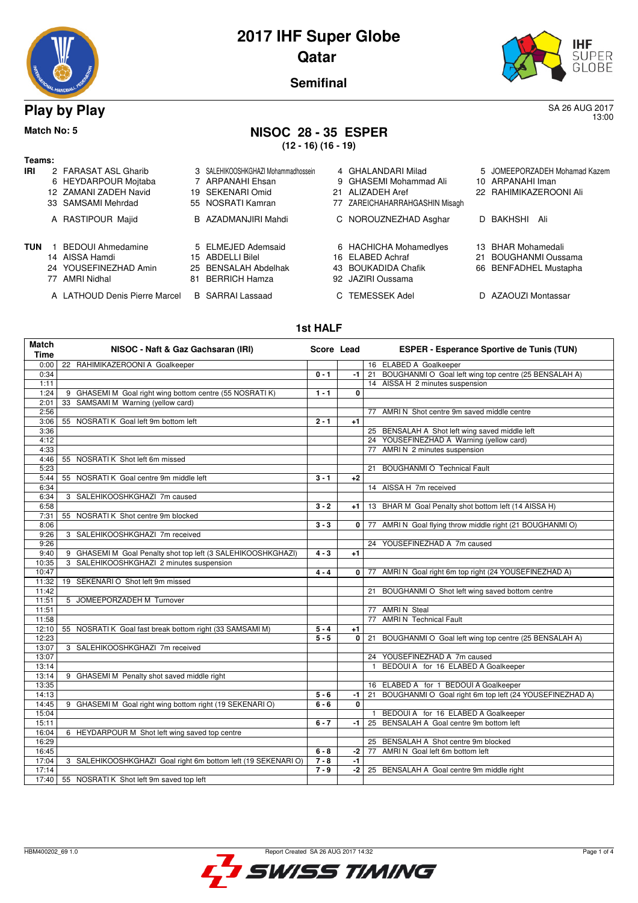| A MARIA ROBERT AVENUE |  |
|-----------------------|--|



13:00

**Semifinal**

## **Play by Play** SA 26 AUG 2017

#### **Match No: 5 NISOC 28 - 35 ESPER (12 - 16) (16 - 19)**

**Teams:**

| Teams:     |                          |                                     |                                |    |                               |
|------------|--------------------------|-------------------------------------|--------------------------------|----|-------------------------------|
| IRI        | 2 FARASAT ASL Gharib     | 3 SALEHIKOOSHKGHAZI Mohammadhossein | 4 GHALANDARI Milad             |    | 5 JOMEEPORZADEH Mohamad Kazem |
|            | 6 HEYDARPOUR Mojtaba     | 7 ARPANAHI Ehsan                    | 9 GHASEMI Mohammad Ali         |    | 10 ARPANAHI Iman              |
|            | 12 ZAMANI ZADEH Navid    | 19 SEKENARI Omid                    | 21 ALIZADEH Aref               |    | 22 RAHIMIKAZEROONI Ali        |
|            | 33 SAMSAMI Mehrdad       | 55 NOSRATI Kamran                   | 77 ZAREICHAHARRAHGASHIN Misagh |    |                               |
|            | A RASTIPOUR Majid        | B AZADMANJIRI Mahdi                 | C NOROUZNEZHAD Asghar          |    | D BAKHSHI Ali                 |
| <b>TUN</b> | <b>BEDOUI Ahmedamine</b> | 5 ELMEJED Ademsaid                  | 6 HACHICHA Mohamedlyes         |    | 13 BHAR Mohamedali            |
|            | 14 AISSA Hamdi           | 15 ABDELLI Bilel                    | 16 ELABED Achraf               | 21 | BOUGHANMI Oussama             |
|            | 24 YOUSEFINEZHAD Amin    | 25 BENSALAH Abdelhak                | 43 BOUKADIDA Chafik            |    | 66 BENFADHEL Mustapha         |

- 
- 
- A LATHOUD Denis Pierre Marcel B SARRAI Lassaad C TEMESSEK Adel D AZAOUZI Montassar

77 AMRI Nidhal 81 BERRICH Hamza 92 JAZIRI Oussama

- 
- 
- 
- 

#### **1st HALF**

| <b>Match</b><br><b>Time</b> | NISOC - Naft & Gaz Gachsaran (IRI)                            | Score Lead |              | <b>ESPER - Esperance Sportive de Tunis (TUN)</b>           |
|-----------------------------|---------------------------------------------------------------|------------|--------------|------------------------------------------------------------|
| 0:00                        | 22 RAHIMIKAZEROONI A Goalkeeper                               |            |              | 16 ELABED A Goalkeeper                                     |
| 0:34                        |                                                               | $0 - 1$    | -1           | 21 BOUGHANMI O Goal left wing top centre (25 BENSALAH A)   |
| 1:11                        |                                                               |            |              | 14 AISSA H 2 minutes suspension                            |
| 1:24                        | 9 GHASEMI M Goal right wing bottom centre (55 NOSRATI K)      | $1 - 1$    | 0            |                                                            |
| 2:01                        | SAMSAMI M Warning (yellow card)<br>33                         |            |              |                                                            |
| 2:56                        |                                                               |            |              | 77 AMRI N Shot centre 9m saved middle centre               |
| 3:06                        | 55 NOSRATI K Goal left 9m bottom left                         | $2 - 1$    | $+1$         |                                                            |
| 3:36                        |                                                               |            |              | 25 BENSALAH A Shot left wing saved middle left             |
| 4:12                        |                                                               |            |              | 24 YOUSEFINEZHAD A Warning (yellow card)                   |
| 4:33                        |                                                               |            |              | 77 AMRI N 2 minutes suspension                             |
| 4:46                        | 55 NOSRATI K Shot left 6m missed                              |            |              |                                                            |
| 5:23                        |                                                               |            |              | 21 BOUGHANMI O Technical Fault                             |
| 5:44                        | NOSRATI K Goal centre 9m middle left<br>55                    | $3 - 1$    | $+2$         |                                                            |
| 6:34                        |                                                               |            |              | 14 AISSA H 7m received                                     |
| 6:34                        | 3 SALEHIKOOSHKGHAZI 7m caused                                 |            |              |                                                            |
| 6:58                        |                                                               | $3 - 2$    | +1 l         | 13 BHAR M Goal Penalty shot bottom left (14 AISSA H)       |
| 7:31                        | 55 NOSRATI K Shot centre 9m blocked                           |            |              |                                                            |
| 8:06                        |                                                               | $3 - 3$    | $\mathbf{0}$ | 77 AMRI N Goal flying throw middle right (21 BOUGHANMI O)  |
| 9:26                        | SALEHIKOOSHKGHAZI 7m received<br>3                            |            |              |                                                            |
| 9:26                        |                                                               |            |              | 24 YOUSEFINEZHAD A 7m caused                               |
| 9:40                        | 9 GHASEMI M Goal Penalty shot top left (3 SALEHIKOOSHKGHAZI)  | $4 - 3$    | $+1$         |                                                            |
| 10:35                       | 3 SALEHIKOOSHKGHAZI 2 minutes suspension                      |            |              |                                                            |
| 10:47                       |                                                               | $4 - 4$    | 0 l          | 77 AMRI N Goal right 6m top right (24 YOUSEFINEZHAD A)     |
| 11:32                       | 19 SEKENARI O Shot left 9m missed                             |            |              |                                                            |
| 11:42                       |                                                               |            |              | 21 BOUGHANMI O Shot left wing saved bottom centre          |
| 11:51                       | 5 JOMEEPORZADEH M Turnover                                    |            |              |                                                            |
| 11:51                       |                                                               |            |              | 77 AMRIN Steal                                             |
| 11:58                       |                                                               |            |              | 77 AMRI N Technical Fault                                  |
| 12:10                       | 55 NOSRATI K Goal fast break bottom right (33 SAMSAMI M)      | $5 - 4$    | $+1$         |                                                            |
| 12:23                       |                                                               | $5 - 5$    | 0            | 21 BOUGHANMI O Goal left wing top centre (25 BENSALAH A)   |
| 13:07                       | 3 SALEHIKOOSHKGHAZI 7m received                               |            |              |                                                            |
| 13:07                       |                                                               |            |              | 24 YOUSEFINEZHAD A 7m caused                               |
| 13:14                       |                                                               |            |              | BEDOUI A for 16 ELABED A Goalkeeper                        |
| 13:14                       | 9 GHASEMI M Penalty shot saved middle right                   |            |              |                                                            |
| 13:35                       |                                                               |            |              | 16 ELABED A for 1 BEDOUI A Goalkeeper                      |
| 14:13                       |                                                               | $5 - 6$    | -1 l         | 21 BOUGHANMI O Goal right 6m top left (24 YOUSEFINEZHAD A) |
| 14:45                       | 9 GHASEMI M Goal right wing bottom right (19 SEKENARI O)      | $6 - 6$    | 0            |                                                            |
| 15:04                       |                                                               |            |              | BEDOUI A for 16 ELABED A Goalkeeper                        |
| 15:11                       |                                                               | $6 - 7$    | -1           | 25 BENSALAH A Goal centre 9m bottom left                   |
| 16:04                       | 6 HEYDARPOUR M Shot left wing saved top centre                |            |              |                                                            |
| 16:29                       |                                                               |            |              | 25 BENSALAH A Shot centre 9m blocked                       |
| 16:45                       |                                                               | $6 - 8$    | -2           | 77 AMRI N Goal left 6m bottom left                         |
| 17:04                       | 3 SALEHIKOOSHKGHAZI Goal right 6m bottom left (19 SEKENARI O) | $7 - 8$    | $-1$         |                                                            |
| 17:14                       |                                                               | $7 - 9$    | $-2$         | 25 BENSALAH A Goal centre 9m middle right                  |
| 17:40                       | 55 NOSRATIK Shot left 9m saved top left                       |            |              |                                                            |

**SWISS TIMING** 

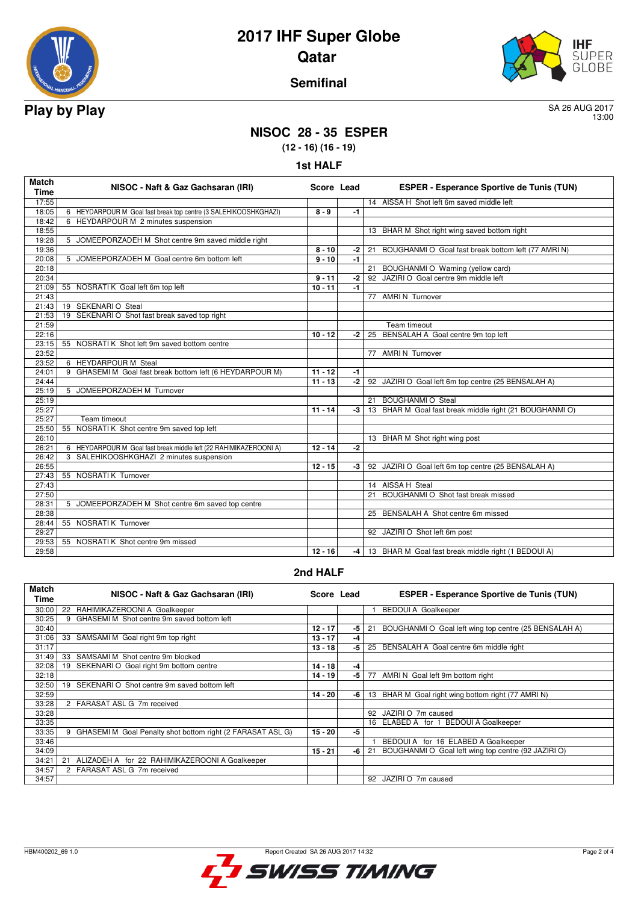



## **Semifinal**

13:00

# **NISOC 28 - 35 ESPER**

**(12 - 16) (16 - 19)**

|  | <b>1st HALF</b> |
|--|-----------------|
|--|-----------------|

| <b>Match</b><br><b>Time</b> | NISOC - Naft & Gaz Gachsaran (IRI)                                | Score Lead |      | <b>ESPER - Esperance Sportive de Tunis (TUN)</b>          |
|-----------------------------|-------------------------------------------------------------------|------------|------|-----------------------------------------------------------|
| 17:55                       |                                                                   |            |      | 14 AISSA H Shot left 6m saved middle left                 |
| 18:05                       | 6 HEYDARPOUR M Goal fast break top centre (3 SALEHIKOOSHKGHAZI)   | $8 - 9$    | -1   |                                                           |
| 18:42                       | 6 HEYDARPOUR M 2 minutes suspension                               |            |      |                                                           |
| 18:55                       |                                                                   |            |      | 13 BHAR M Shot right wing saved bottom right              |
| 19:28                       | 5 JOMEEPORZADEH M Shot centre 9m saved middle right               |            |      |                                                           |
| 19:36                       |                                                                   | $8 - 10$   | -2   | BOUGHANMI O Goal fast break bottom left (77 AMRI N)<br>21 |
| 20:08                       | 5 JOMEEPORZADEH M Goal centre 6m bottom left                      | $9 - 10$   | $-1$ |                                                           |
| 20:18                       |                                                                   |            |      | BOUGHANMI O Warning (yellow card)<br>21                   |
| 20:34                       |                                                                   | $9 - 11$   | -2   | 92 JAZIRI O Goal centre 9m middle left                    |
| 21:09                       | 55 NOSRATI K Goal left 6m top left                                | $10 - 11$  | -1   |                                                           |
| 21:43                       |                                                                   |            |      | 77 AMRIN Turnover                                         |
| 21:43                       | 19 SEKENARI O Steal                                               |            |      |                                                           |
| 21:53                       | 19 SEKENARI O Shot fast break saved top right                     |            |      |                                                           |
| 21:59                       |                                                                   |            |      | Team timeout                                              |
| 22:16                       |                                                                   | $10 - 12$  | -2   | 25 BENSALAH A Goal centre 9m top left                     |
| 23:15                       | 55 NOSRATI K Shot left 9m saved bottom centre                     |            |      |                                                           |
| 23:52                       |                                                                   |            |      | 77 AMRIN Turnover                                         |
| 23:52                       | 6 HEYDARPOUR M Steal                                              |            |      |                                                           |
| 24:01                       | 9 GHASEMI M Goal fast break bottom left (6 HEYDARPOUR M)          | $11 - 12$  | -1   |                                                           |
| 24:44                       |                                                                   | $11 - 13$  | $-2$ | 92 JAZIRI O Goal left 6m top centre (25 BENSALAH A)       |
| 25:19                       | 5 JOMEEPORZADEH M Turnover                                        |            |      |                                                           |
| 25:19                       |                                                                   |            |      | <b>BOUGHANMI O Steal</b><br>21                            |
| 25:27                       |                                                                   | $11 - 14$  | $-3$ | 13 BHAR M Goal fast break middle right (21 BOUGHANMI O)   |
| 25:27                       | Team timeout                                                      |            |      |                                                           |
| 25:50                       | NOSRATIK Shot centre 9m saved top left<br>55                      |            |      |                                                           |
| 26:10                       |                                                                   |            |      | 13 BHAR M Shot right wing post                            |
| 26:21                       | 6 HEYDARPOUR M Goal fast break middle left (22 RAHIMIKAZEROONI A) | $12 - 14$  | $-2$ |                                                           |
| 26:42                       | 3 SALEHIKOOSHKGHAZI 2 minutes suspension                          |            |      |                                                           |
| 26:55                       |                                                                   | $12 - 15$  | -3   | 92 JAZIRI O Goal left 6m top centre (25 BENSALAH A)       |
| 27:43                       | 55 NOSRATI K Turnover                                             |            |      |                                                           |
| 27:43                       |                                                                   |            |      | 14 AISSA H Steal                                          |
| 27:50                       |                                                                   |            |      | BOUGHANMI O Shot fast break missed<br>21                  |
| 28:31                       | 5 JOMEEPORZADEH M Shot centre 6m saved top centre                 |            |      |                                                           |
| 28:38                       |                                                                   |            |      | 25 BENSALAH A Shot centre 6m missed                       |
| 28:44                       | 55 NOSRATI K Turnover                                             |            |      |                                                           |
| 29:27                       |                                                                   |            |      | 92 JAZIRI O Shot left 6m post                             |
| 29:53                       | 55 NOSRATI K Shot centre 9m missed                                |            |      |                                                           |
| 29:58                       |                                                                   | $12 - 16$  | -4 1 | 13 BHAR M Goal fast break middle right (1 BEDOUI A)       |

### **2nd HALF**

| <b>Match</b><br>Time | NISOC - Naft & Gaz Gachsaran (IRI)                              | Score Lead |    | <b>ESPER - Esperance Sportive de Tunis (TUN)</b>            |
|----------------------|-----------------------------------------------------------------|------------|----|-------------------------------------------------------------|
| 30:00                | RAHIMIKAZEROONI A Goalkeeper<br>22                              |            |    | <b>BEDOUI A Goalkeeper</b>                                  |
| 30:25                | GHASEMI M Shot centre 9m saved bottom left<br>9                 |            |    |                                                             |
| 30:40                |                                                                 | $12 - 17$  | -5 | BOUGHANMI O Goal left wing top centre (25 BENSALAH A)<br>21 |
| 31:06                | SAMSAMI M Goal right 9m top right<br>33                         | $13 - 17$  | -4 |                                                             |
| 31:17                |                                                                 | $13 - 18$  | -5 | 25 BENSALAH A Goal centre 6m middle right                   |
| 31:49                | SAMSAMI M Shot centre 9m blocked<br>33                          |            |    |                                                             |
| 32:08                | SEKENARI O Goal right 9m bottom centre<br>19                    | $14 - 18$  | -4 |                                                             |
| 32:18                |                                                                 | $14 - 19$  | -5 | 77<br>AMRI N Goal left 9m bottom right                      |
| 32:50                | 19<br>SEKENARI O Shot centre 9m saved bottom left               |            |    |                                                             |
| 32:59                |                                                                 | $14 - 20$  | -6 | 13 BHAR M Goal right wing bottom right (77 AMRI N)          |
| 33:28                | 2 FARASAT ASL G 7m received                                     |            |    |                                                             |
| 33:28                |                                                                 |            |    | JAZIRI O 7m caused<br>92                                    |
| 33:35                |                                                                 |            |    | 16 ELABED A for 1 BEDOUI A Goalkeeper                       |
| 33:35                | GHASEMI M Goal Penalty shot bottom right (2 FARASAT ASL G)<br>9 | $15 - 20$  | -5 |                                                             |
| 33:46                |                                                                 |            |    | BEDOUI A for 16 ELABED A Goalkeeper                         |
| 34:09                |                                                                 | $15 - 21$  | -6 | BOUGHANMI O Goal left wing top centre (92 JAZIRI O)<br>21   |
| 34:21                | ALIZADEH A for 22 RAHIMIKAZEROONI A Goalkeeper<br>21            |            |    |                                                             |
| 34:57                | 2 FARASAT ASL G 7m received                                     |            |    |                                                             |
| 34:57                |                                                                 |            |    | JAZIRI O 7m caused<br>92                                    |

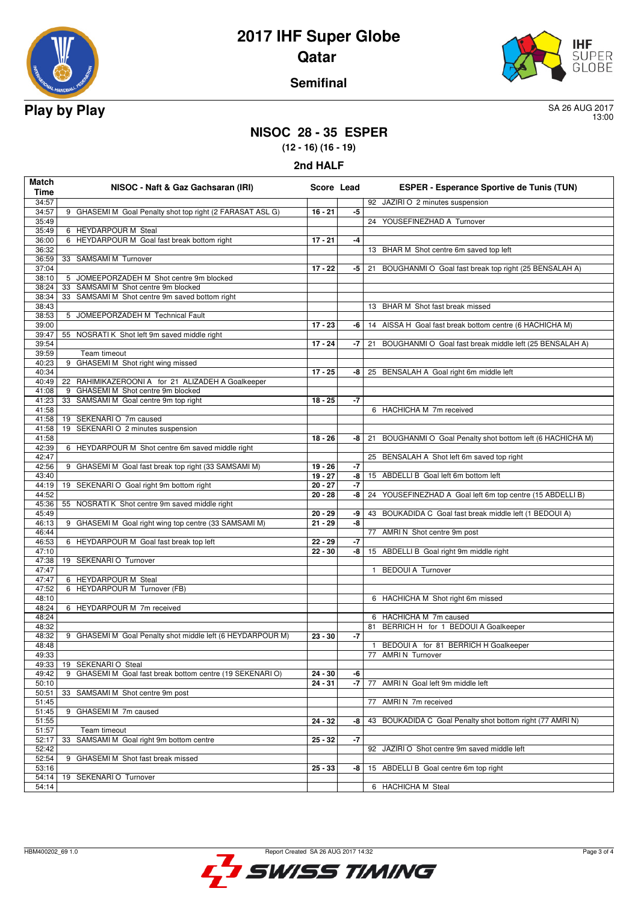



## **Semifinal**

13:00

## **NISOC 28 - 35 ESPER**

**(12 - 16) (16 - 19)**

| 2nd HAL |
|---------|
|         |

| Match<br>Time  | NISOC - Naft & Gaz Gachsaran (IRI)                                                      | Score Lead             |          | <b>ESPER - Esperance Sportive de Tunis (TUN)</b>                 |
|----------------|-----------------------------------------------------------------------------------------|------------------------|----------|------------------------------------------------------------------|
| 34:57          |                                                                                         |                        |          | 92 JAZIRI O 2 minutes suspension                                 |
| 34:57<br>35:49 | 9 GHASEMI M Goal Penalty shot top right (2 FARASAT ASL G)                               | $16 - 21$              | -5       | 24 YOUSEFINEZHAD A Turnover                                      |
| 35:49          | 6 HEYDARPOUR M Steal                                                                    |                        |          |                                                                  |
| 36:00          | 6 HEYDARPOUR M Goal fast break bottom right                                             | $17 - 21$              | -4       |                                                                  |
| 36:32          |                                                                                         |                        |          | 13 BHAR M Shot centre 6m saved top left                          |
| 36:59          | 33 SAMSAMI M Turnover                                                                   |                        |          |                                                                  |
| 37:04<br>38:10 | 5 JOMEEPORZADEH M Shot centre 9m blocked                                                | $17 - 22$              | -5       | 21 BOUGHANMI O Goal fast break top right (25 BENSALAH A)         |
| 38:24          | 33 SAMSAMI M Shot centre 9m blocked                                                     |                        |          |                                                                  |
| 38:34          | 33 SAMSAMI M Shot centre 9m saved bottom right                                          |                        |          |                                                                  |
| 38:43          |                                                                                         |                        |          | 13 BHAR M Shot fast break missed                                 |
| 38:53          | 5 JOMEEPORZADEH M Technical Fault                                                       |                        |          |                                                                  |
| 39:00<br>39:47 | 55 NOSRATI K Shot left 9m saved middle right                                            | $17 - 23$              | -6       | 14 AISSA H Goal fast break bottom centre (6 HACHICHA M)          |
| 39:54          |                                                                                         | $17 - 24$              | -7       | BOUGHANMI O Goal fast break middle left (25 BENSALAH A)<br>21    |
| 39:59          | Team timeout                                                                            |                        |          |                                                                  |
| 40:23          | GHASEMI M Shot right wing missed<br>9                                                   |                        |          |                                                                  |
| 40:34          |                                                                                         | $17 - 25$              | -8       | 25 BENSALAH A Goal right 6m middle left                          |
| 40:49<br>41:08 | 22 RAHIMIKAZEROONI A for 21 ALIZADEH A Goalkeeper<br>9 GHASEMI M Shot centre 9m blocked |                        |          |                                                                  |
| 41:23          | 33 SAMSAMI M Goal centre 9m top right                                                   | $18 - 25$              | $-7$     |                                                                  |
| 41:58          |                                                                                         |                        |          | 6 HACHICHA M 7m received                                         |
|                | 41:58   19 SEKENARIO 7m caused                                                          |                        |          |                                                                  |
| 41:58          | 19 SEKENARI O 2 minutes suspension                                                      |                        |          |                                                                  |
| 41:58          |                                                                                         | $18 - 26$              | -8       | BOUGHANMI O Goal Penalty shot bottom left (6 HACHICHA M)<br>21   |
| 42:39<br>42:47 | 6 HEYDARPOUR M Shot centre 6m saved middle right                                        |                        |          | 25 BENSALAH A Shot left 6m saved top right                       |
| 42:56          | 9 GHASEMI M Goal fast break top right (33 SAMSAMI M)                                    | $19 - 26$              | $-7$     |                                                                  |
| 43:40          |                                                                                         | $19 - 27$              | -8       | 15 ABDELLI B Goal left 6m bottom left                            |
| 44:19          | 19 SEKENARI O Goal right 9m bottom right                                                | $20 - 27$              | -7       |                                                                  |
| 44:52          |                                                                                         | $20 - 28$              | -8       | YOUSEFINEZHAD A Goal left 6m top centre (15 ABDELLI B)<br>24     |
| 45:36<br>45:49 | 55 NOSRATI K Shot centre 9m saved middle right                                          | $20 - 29$              | -9       | BOUKADIDA C Goal fast break middle left (1 BEDOUI A)<br>43       |
| 46:13          | 9 GHASEMI M Goal right wing top centre (33 SAMSAMI M)                                   | $21 - 29$              | -8       |                                                                  |
| 46:44          |                                                                                         |                        |          | 77 AMRI N Shot centre 9m post                                    |
| 46:53          | 6 HEYDARPOUR M Goal fast break top left                                                 | $22 - 29$              | -7       |                                                                  |
| 47:10          | 19 SEKENARI O Turnover                                                                  | $22 - 30$              | -8       | 15 ABDELLI B Goal right 9m middle right                          |
| 47:38<br>47:47 |                                                                                         |                        |          | <b>BEDOUI A Turnover</b><br>$\mathbf{1}$                         |
| 47:47          | 6 HEYDARPOUR M Steal                                                                    |                        |          |                                                                  |
| 47:52          | 6 HEYDARPOUR M Turnover (FB)                                                            |                        |          |                                                                  |
| 48:10          |                                                                                         |                        |          | 6 HACHICHA M Shot right 6m missed                                |
| 48:24          | 6 HEYDARPOUR M 7m received                                                              |                        |          |                                                                  |
| 48:24<br>48:32 |                                                                                         |                        |          | 6 HACHICHA M 7m caused<br>81 BERRICH H for 1 BEDOUI A Goalkeeper |
| 48:32          | 9 GHASEMI M Goal Penalty shot middle left (6 HEYDARPOUR M)                              | $23 - 30$              | -7       |                                                                  |
| 48:48          |                                                                                         |                        |          | BEDOUI A for 81 BERRICH H Goalkeeper                             |
| 49:33          |                                                                                         |                        |          | 77 AMRIN Turnover                                                |
| 49:33          | 19 SEKENARI O Steal                                                                     |                        |          |                                                                  |
| 49:42<br>50:10 | GHASEMI M Goal fast break bottom centre (19 SEKENARI O)<br>9                            | $24 - 30$<br>$24 - 31$ | -6<br>-7 | 77 AMRI N Goal left 9m middle left                               |
| 50:51          | 33 SAMSAMI M Shot centre 9m post                                                        |                        |          |                                                                  |
| 51:45          |                                                                                         |                        |          | 77 AMRIN 7m received                                             |
| 51:45          | 9 GHASEMI M 7m caused                                                                   |                        |          |                                                                  |
| 51:55          |                                                                                         | 24 - 32                | -8       | BOUKADIDA C Goal Penalty shot bottom right (77 AMRI N)           |
| 51:57<br>52:17 | Team timeout<br>SAMSAMI M Goal right 9m bottom centre<br>33                             | $25 - 32$              | -7       |                                                                  |
| 52:42          |                                                                                         |                        |          | 92 JAZIRI O Shot centre 9m saved middle left                     |
| 52:54          | GHASEMI M Shot fast break missed<br>9                                                   |                        |          |                                                                  |
| 53:16          |                                                                                         | $25 - 33$              | -8       | 15 ABDELLI B Goal centre 6m top right                            |
| 54:14          | 19 SEKENARIO Turnover                                                                   |                        |          |                                                                  |
| 54:14          |                                                                                         |                        |          | 6 HACHICHA M Steal                                               |